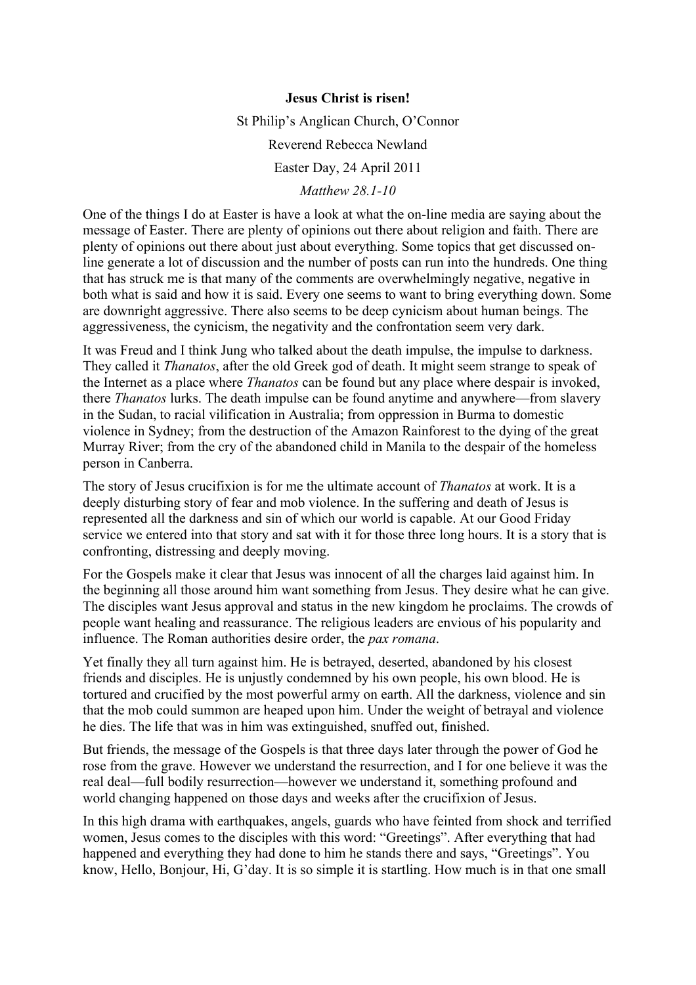## **Jesus Christ is risen!**

St Philip's Anglican Church, O'Connor

Reverend Rebecca Newland

Easter Day, 24 April 2011

## *Matthew 28.1-10*

One of the things I do at Easter is have a look at what the on-line media are saying about the message of Easter. There are plenty of opinions out there about religion and faith. There are plenty of opinions out there about just about everything. Some topics that get discussed online generate a lot of discussion and the number of posts can run into the hundreds. One thing that has struck me is that many of the comments are overwhelmingly negative, negative in both what is said and how it is said. Every one seems to want to bring everything down. Some are downright aggressive. There also seems to be deep cynicism about human beings. The aggressiveness, the cynicism, the negativity and the confrontation seem very dark.

It was Freud and I think Jung who talked about the death impulse, the impulse to darkness. They called it *Thanatos*, after the old Greek god of death. It might seem strange to speak of the Internet as a place where *Thanatos* can be found but any place where despair is invoked, there *Thanatos* lurks. The death impulse can be found anytime and anywhere—from slavery in the Sudan, to racial vilification in Australia; from oppression in Burma to domestic violence in Sydney; from the destruction of the Amazon Rainforest to the dying of the great Murray River; from the cry of the abandoned child in Manila to the despair of the homeless person in Canberra.

The story of Jesus crucifixion is for me the ultimate account of *Thanatos* at work. It is a deeply disturbing story of fear and mob violence. In the suffering and death of Jesus is represented all the darkness and sin of which our world is capable. At our Good Friday service we entered into that story and sat with it for those three long hours. It is a story that is confronting, distressing and deeply moving.

For the Gospels make it clear that Jesus was innocent of all the charges laid against him. In the beginning all those around him want something from Jesus. They desire what he can give. The disciples want Jesus approval and status in the new kingdom he proclaims. The crowds of people want healing and reassurance. The religious leaders are envious of his popularity and influence. The Roman authorities desire order, the *pax romana*.

Yet finally they all turn against him. He is betrayed, deserted, abandoned by his closest friends and disciples. He is unjustly condemned by his own people, his own blood. He is tortured and crucified by the most powerful army on earth. All the darkness, violence and sin that the mob could summon are heaped upon him. Under the weight of betrayal and violence he dies. The life that was in him was extinguished, snuffed out, finished.

But friends, the message of the Gospels is that three days later through the power of God he rose from the grave. However we understand the resurrection, and I for one believe it was the real deal—full bodily resurrection—however we understand it, something profound and world changing happened on those days and weeks after the crucifixion of Jesus.

In this high drama with earthquakes, angels, guards who have feinted from shock and terrified women, Jesus comes to the disciples with this word: "Greetings". After everything that had happened and everything they had done to him he stands there and says, "Greetings". You know, Hello, Bonjour, Hi, G'day. It is so simple it is startling. How much is in that one small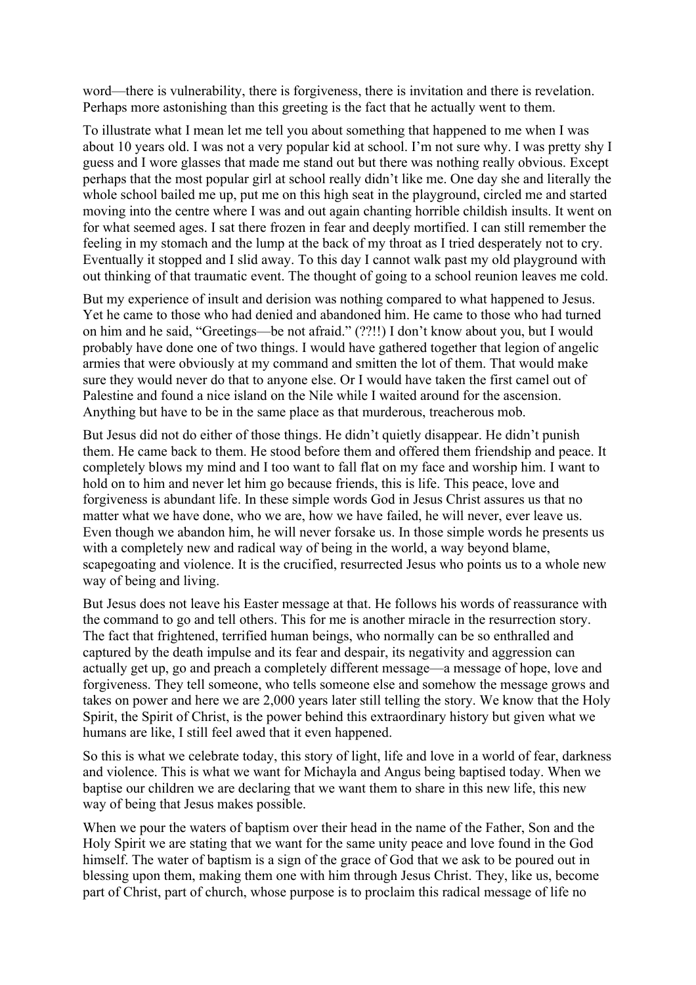word—there is vulnerability, there is forgiveness, there is invitation and there is revelation. Perhaps more astonishing than this greeting is the fact that he actually went to them.

To illustrate what I mean let me tell you about something that happened to me when I was about 10 years old. I was not a very popular kid at school. I'm not sure why. I was pretty shy I guess and I wore glasses that made me stand out but there was nothing really obvious. Except perhaps that the most popular girl at school really didn't like me. One day she and literally the whole school bailed me up, put me on this high seat in the playground, circled me and started moving into the centre where I was and out again chanting horrible childish insults. It went on for what seemed ages. I sat there frozen in fear and deeply mortified. I can still remember the feeling in my stomach and the lump at the back of my throat as I tried desperately not to cry. Eventually it stopped and I slid away. To this day I cannot walk past my old playground with out thinking of that traumatic event. The thought of going to a school reunion leaves me cold.

But my experience of insult and derision was nothing compared to what happened to Jesus. Yet he came to those who had denied and abandoned him. He came to those who had turned on him and he said, "Greetings—be not afraid." (??!!) I don't know about you, but I would probably have done one of two things. I would have gathered together that legion of angelic armies that were obviously at my command and smitten the lot of them. That would make sure they would never do that to anyone else. Or I would have taken the first camel out of Palestine and found a nice island on the Nile while I waited around for the ascension. Anything but have to be in the same place as that murderous, treacherous mob.

But Jesus did not do either of those things. He didn't quietly disappear. He didn't punish them. He came back to them. He stood before them and offered them friendship and peace. It completely blows my mind and I too want to fall flat on my face and worship him. I want to hold on to him and never let him go because friends, this is life. This peace, love and forgiveness is abundant life. In these simple words God in Jesus Christ assures us that no matter what we have done, who we are, how we have failed, he will never, ever leave us. Even though we abandon him, he will never forsake us. In those simple words he presents us with a completely new and radical way of being in the world, a way beyond blame, scapegoating and violence. It is the crucified, resurrected Jesus who points us to a whole new way of being and living.

But Jesus does not leave his Easter message at that. He follows his words of reassurance with the command to go and tell others. This for me is another miracle in the resurrection story. The fact that frightened, terrified human beings, who normally can be so enthralled and captured by the death impulse and its fear and despair, its negativity and aggression can actually get up, go and preach a completely different message—a message of hope, love and forgiveness. They tell someone, who tells someone else and somehow the message grows and takes on power and here we are 2,000 years later still telling the story. We know that the Holy Spirit, the Spirit of Christ, is the power behind this extraordinary history but given what we humans are like, I still feel awed that it even happened.

So this is what we celebrate today, this story of light, life and love in a world of fear, darkness and violence. This is what we want for Michayla and Angus being baptised today. When we baptise our children we are declaring that we want them to share in this new life, this new way of being that Jesus makes possible.

When we pour the waters of baptism over their head in the name of the Father, Son and the Holy Spirit we are stating that we want for the same unity peace and love found in the God himself. The water of baptism is a sign of the grace of God that we ask to be poured out in blessing upon them, making them one with him through Jesus Christ. They, like us, become part of Christ, part of church, whose purpose is to proclaim this radical message of life no